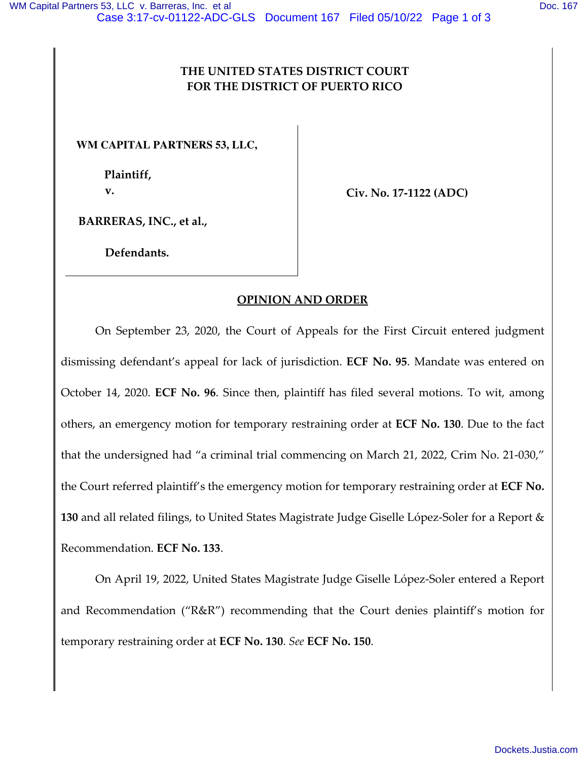## **THE UNITED STATES DISTRICT COURT FOR THE DISTRICT OF PUERTO RICO**

**WM CAPITAL PARTNERS 53, LLC,** 

**Plaintiff, v.**

**Civ. No. 17-1122 (ADC)**

**BARRERAS, INC., et al.,** 

**Defendants.** 

## **OPINION AND ORDER**

On September 23, 2020, the Court of Appeals for the First Circuit entered judgment dismissing defendant's appeal for lack of jurisdiction. **ECF No. 95**. Mandate was entered on October 14, 2020. **ECF No. 96**. Since then, plaintiff has filed several motions. To wit, among others, an emergency motion for temporary restraining order at **ECF No. 130**. Due to the fact that the undersigned had "a criminal trial commencing on March 21, 2022, Crim No. 21-030," the Court referred plaintiff's the emergency motion for temporary restraining order at **ECF No. 130** and all related filings, to United States Magistrate Judge Giselle López-Soler for a Report & Recommendation. **ECF No. 133**.

On April 19, 2022, United States Magistrate Judge Giselle López-Soler entered a Report and Recommendation ("R&R") recommending that the Court denies plaintiff's motion for temporary restraining order at **ECF No. 130**. *See* **ECF No. 150**.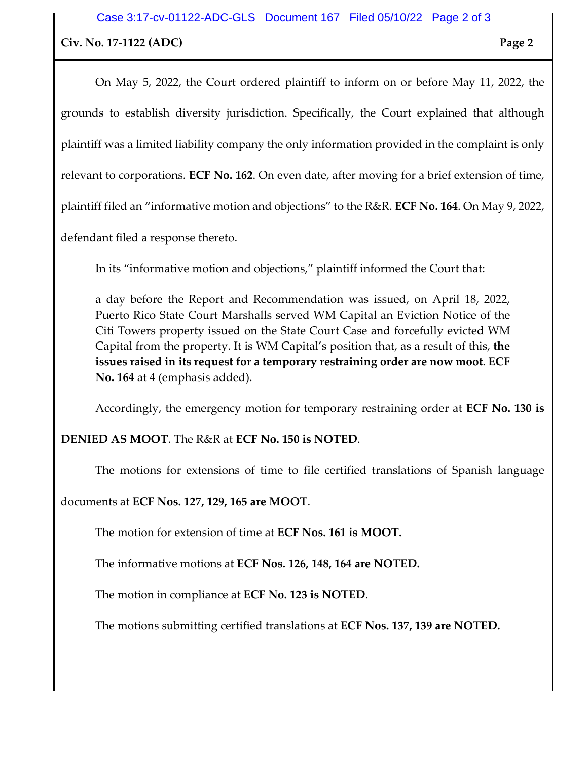On May 5, 2022, the Court ordered plaintiff to inform on or before May 11, 2022, the grounds to establish diversity jurisdiction. Specifically, the Court explained that although plaintiff was a limited liability company the only information provided in the complaint is only relevant to corporations. **ECF No. 162**. On even date, after moving for a brief extension of time, plaintiff filed an "informative motion and objections" to the R&R. **ECF No. 164**. On May 9, 2022,

defendant filed a response thereto.

In its "informative motion and objections," plaintiff informed the Court that:

a day before the Report and Recommendation was issued, on April 18, 2022, Puerto Rico State Court Marshalls served WM Capital an Eviction Notice of the Citi Towers property issued on the State Court Case and forcefully evicted WM Capital from the property. It is WM Capital's position that, as a result of this, **the issues raised in its request for a temporary restraining order are now moot**. **ECF No. 164** at 4 (emphasis added).

Accordingly, the emergency motion for temporary restraining order at **ECF No. 130 is** 

**DENIED AS MOOT**. The R&R at **ECF No. 150 is NOTED**.

The motions for extensions of time to file certified translations of Spanish language

documents at **ECF Nos. 127, 129, 165 are MOOT**.

The motion for extension of time at **ECF Nos. 161 is MOOT.** 

The informative motions at **ECF Nos. 126, 148, 164 are NOTED.**

The motion in compliance at **ECF No. 123 is NOTED**.

The motions submitting certified translations at **ECF Nos. 137, 139 are NOTED.**